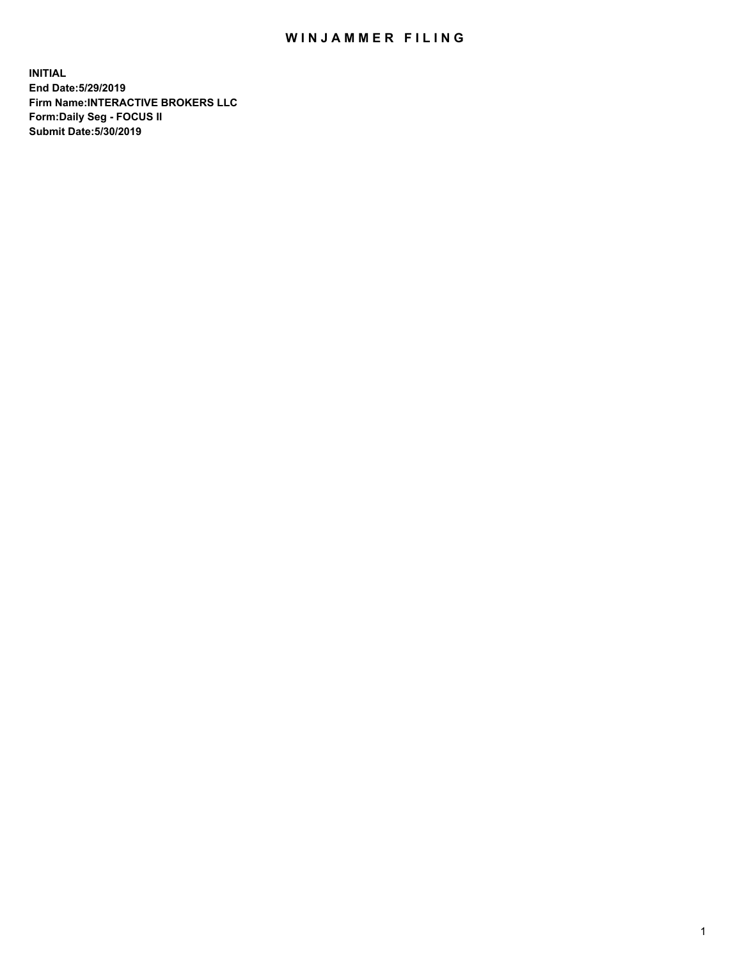## WIN JAMMER FILING

**INITIAL End Date:5/29/2019 Firm Name:INTERACTIVE BROKERS LLC Form:Daily Seg - FOCUS II Submit Date:5/30/2019**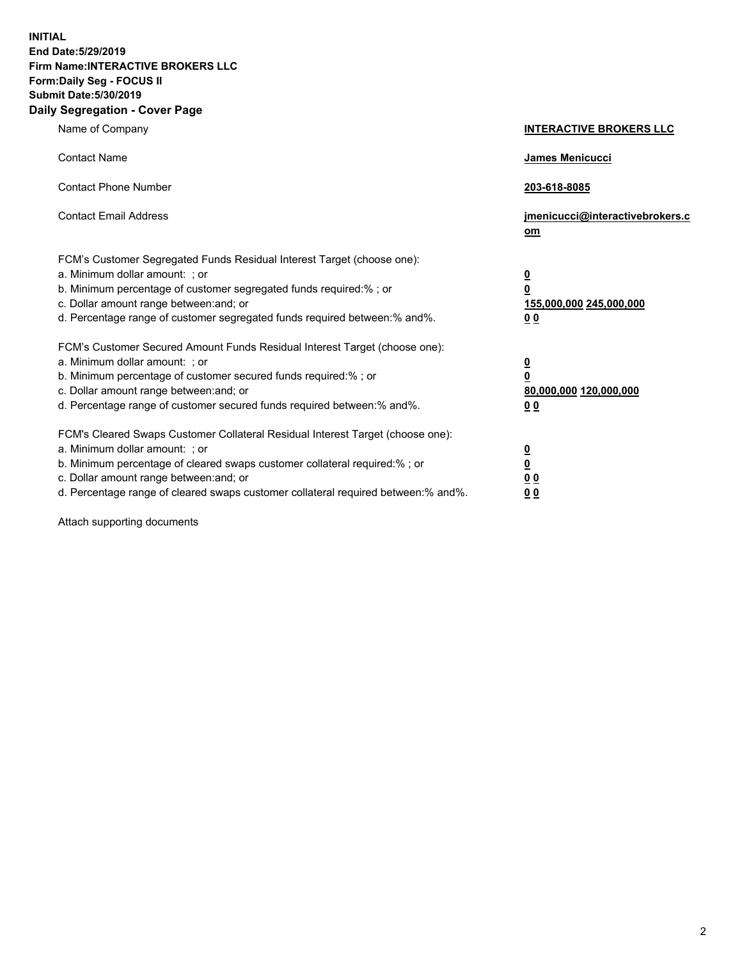**INITIAL End Date:5/29/2019 Firm Name:INTERACTIVE BROKERS LLC Form:Daily Seg - FOCUS II Submit Date:5/30/2019 Daily Segregation - Cover Page**

| Name of Company                                                                                                                                                                                                                                                                                                                | <b>INTERACTIVE BROKERS LLC</b>                                                   |
|--------------------------------------------------------------------------------------------------------------------------------------------------------------------------------------------------------------------------------------------------------------------------------------------------------------------------------|----------------------------------------------------------------------------------|
| <b>Contact Name</b>                                                                                                                                                                                                                                                                                                            | James Menicucci                                                                  |
| <b>Contact Phone Number</b>                                                                                                                                                                                                                                                                                                    | 203-618-8085                                                                     |
| <b>Contact Email Address</b>                                                                                                                                                                                                                                                                                                   | jmenicucci@interactivebrokers.c<br>om                                            |
| FCM's Customer Segregated Funds Residual Interest Target (choose one):<br>a. Minimum dollar amount: ; or<br>b. Minimum percentage of customer segregated funds required:% ; or<br>c. Dollar amount range between: and; or<br>d. Percentage range of customer segregated funds required between:% and%.                         | <u>0</u><br>$\overline{\mathbf{0}}$<br>155,000,000 245,000,000<br>0 <sub>0</sub> |
| FCM's Customer Secured Amount Funds Residual Interest Target (choose one):<br>a. Minimum dollar amount: ; or<br>b. Minimum percentage of customer secured funds required:% ; or<br>c. Dollar amount range between: and; or<br>d. Percentage range of customer secured funds required between:% and%.                           | <u>0</u><br>$\overline{\mathbf{0}}$<br>80,000,000 120,000,000<br>0 <sub>0</sub>  |
| FCM's Cleared Swaps Customer Collateral Residual Interest Target (choose one):<br>a. Minimum dollar amount: ; or<br>b. Minimum percentage of cleared swaps customer collateral required:% ; or<br>c. Dollar amount range between: and; or<br>d. Percentage range of cleared swaps customer collateral required between:% and%. | <u>0</u><br>$\underline{\mathbf{0}}$<br>0 <sub>0</sub><br>0 <sub>0</sub>         |

Attach supporting documents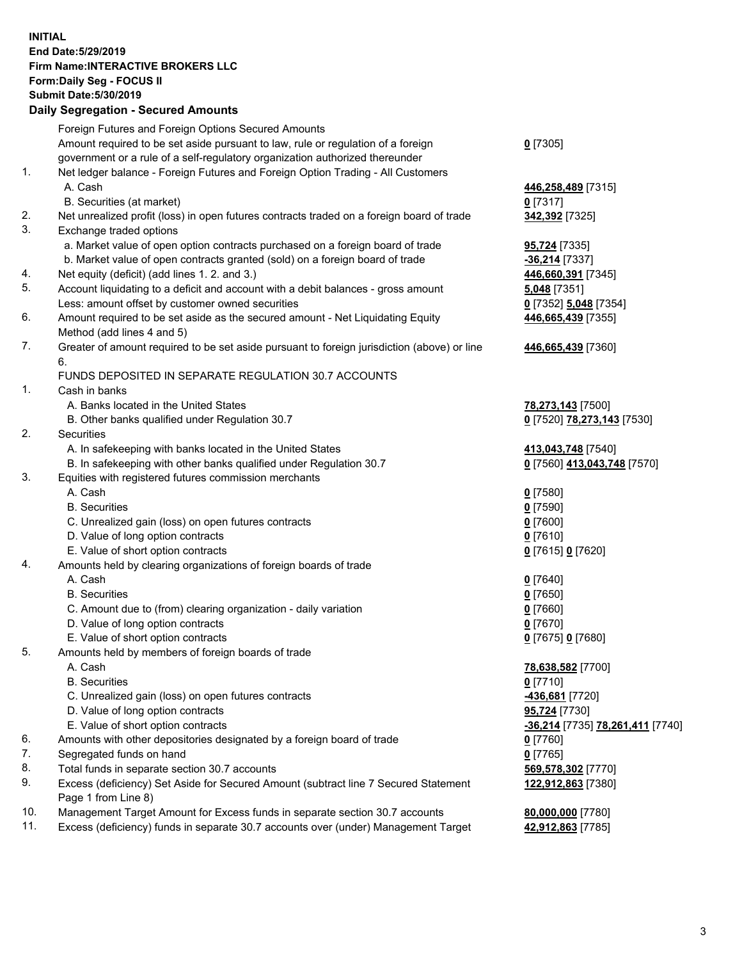## **INITIAL End Date:5/29/2019 Firm Name:INTERACTIVE BROKERS LLC Form:Daily Seg - FOCUS II Submit Date:5/30/2019 Daily Segregation - Secured Amounts**

|                | Dany Ocgregation - Oceaned Anioante                                                               |                                                        |
|----------------|---------------------------------------------------------------------------------------------------|--------------------------------------------------------|
|                | Foreign Futures and Foreign Options Secured Amounts                                               |                                                        |
|                | Amount required to be set aside pursuant to law, rule or regulation of a foreign                  | $0$ [7305]                                             |
|                | government or a rule of a self-regulatory organization authorized thereunder                      |                                                        |
| 1.             | Net ledger balance - Foreign Futures and Foreign Option Trading - All Customers                   |                                                        |
|                | A. Cash                                                                                           | 446,258,489 [7315]                                     |
|                | B. Securities (at market)                                                                         | $0$ [7317]                                             |
| 2.             | Net unrealized profit (loss) in open futures contracts traded on a foreign board of trade         | 342,392 [7325]                                         |
| 3.             | Exchange traded options                                                                           |                                                        |
|                | a. Market value of open option contracts purchased on a foreign board of trade                    | 95,724 [7335]                                          |
|                | b. Market value of open contracts granted (sold) on a foreign board of trade                      | -36,214 [7337]                                         |
| 4.             | Net equity (deficit) (add lines 1. 2. and 3.)                                                     | 446,660,391 [7345]                                     |
| 5.             | Account liquidating to a deficit and account with a debit balances - gross amount                 | 5,048 [7351]                                           |
|                | Less: amount offset by customer owned securities                                                  | 0 [7352] 5,048 [7354]                                  |
| 6.             | Amount required to be set aside as the secured amount - Net Liquidating Equity                    | 446,665,439 [7355]                                     |
|                | Method (add lines 4 and 5)                                                                        |                                                        |
| 7.             | Greater of amount required to be set aside pursuant to foreign jurisdiction (above) or line<br>6. | 446,665,439 [7360]                                     |
|                | FUNDS DEPOSITED IN SEPARATE REGULATION 30.7 ACCOUNTS                                              |                                                        |
| $\mathbf{1}$ . | Cash in banks                                                                                     |                                                        |
|                | A. Banks located in the United States                                                             | 78,273,143 [7500]                                      |
|                | B. Other banks qualified under Regulation 30.7                                                    | 0 [7520] 78,273,143 [7530]                             |
| 2.             | Securities                                                                                        |                                                        |
|                | A. In safekeeping with banks located in the United States                                         | 413,043,748 [7540]                                     |
|                | B. In safekeeping with other banks qualified under Regulation 30.7                                | 0 [7560] 413,043,748 [7570]                            |
| 3.             | Equities with registered futures commission merchants                                             |                                                        |
|                | A. Cash                                                                                           | $0$ [7580]                                             |
|                | <b>B.</b> Securities                                                                              | $0$ [7590]                                             |
|                | C. Unrealized gain (loss) on open futures contracts                                               | $0$ [7600]                                             |
|                | D. Value of long option contracts                                                                 | $0$ [7610]                                             |
|                | E. Value of short option contracts                                                                | 0 [7615] 0 [7620]                                      |
| 4.             | Amounts held by clearing organizations of foreign boards of trade                                 |                                                        |
|                | A. Cash                                                                                           | $0$ [7640]                                             |
|                | <b>B.</b> Securities                                                                              | $0$ [7650]                                             |
|                | C. Amount due to (from) clearing organization - daily variation                                   | $0$ [7660]                                             |
|                | D. Value of long option contracts                                                                 | $0$ [7670]                                             |
|                | E. Value of short option contracts                                                                | 0 [7675] 0 [7680]                                      |
| 5.             | Amounts held by members of foreign boards of trade                                                |                                                        |
|                | A. Cash                                                                                           | 78,638,582 [7700]                                      |
|                | <b>B.</b> Securities                                                                              | $0$ [7710]                                             |
|                | C. Unrealized gain (loss) on open futures contracts                                               | -436,681 [7720]                                        |
|                | D. Value of long option contracts                                                                 | 95,724 [7730]                                          |
|                | E. Value of short option contracts                                                                | <u>-<b>36,214</b> [</u> 7735] <u>78,261,411</u> [7740] |
| 6.             | Amounts with other depositories designated by a foreign board of trade                            | 0 [7760]                                               |
| 7.             | Segregated funds on hand                                                                          | $0$ [7765]                                             |
| 8.             | Total funds in separate section 30.7 accounts                                                     | 569,578,302 [7770]                                     |
| 9.             | Excess (deficiency) Set Aside for Secured Amount (subtract line 7 Secured Statement               | <u>122,912,863</u> [7380]                              |
|                | Page 1 from Line 8)                                                                               |                                                        |
| 10.            | Management Target Amount for Excess funds in separate section 30.7 accounts                       | 80,000,000 [7780]                                      |
| 11.            | Excess (deficiency) funds in separate 30.7 accounts over (under) Management Target                | 42,912,863 [7785]                                      |
|                |                                                                                                   |                                                        |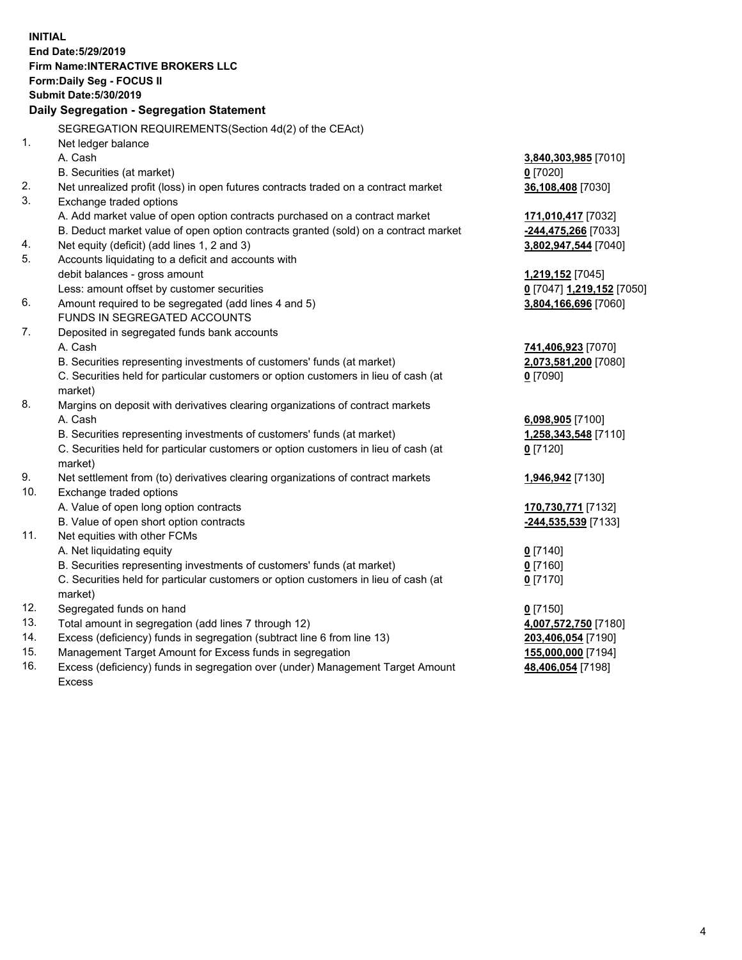**INITIAL End Date:5/29/2019 Firm Name:INTERACTIVE BROKERS LLC Form:Daily Seg - FOCUS II Submit Date:5/30/2019 Daily Segregation - Segregation Statement** SEGREGATION REQUIREMENTS(Section 4d(2) of the CEAct) 1. Net ledger balance A. Cash **3,840,303,985** [7010] B. Securities (at market) **0** [7020] 2. Net unrealized profit (loss) in open futures contracts traded on a contract market **36,108,408** [7030] 3. Exchange traded options A. Add market value of open option contracts purchased on a contract market **171,010,417** [7032] B. Deduct market value of open option contracts granted (sold) on a contract market **-244,475,266** [7033] 4. Net equity (deficit) (add lines 1, 2 and 3) **3,802,947,544** [7040] 5. Accounts liquidating to a deficit and accounts with debit balances - gross amount **1,219,152** [7045] Less: amount offset by customer securities **0** [7047] **1,219,152** [7050] 6. Amount required to be segregated (add lines 4 and 5) **3,804,166,696** [7060] FUNDS IN SEGREGATED ACCOUNTS 7. Deposited in segregated funds bank accounts A. Cash **741,406,923** [7070] B. Securities representing investments of customers' funds (at market) **2,073,581,200** [7080] C. Securities held for particular customers or option customers in lieu of cash (at market) **0** [7090] 8. Margins on deposit with derivatives clearing organizations of contract markets A. Cash **6,098,905** [7100] B. Securities representing investments of customers' funds (at market) **1,258,343,548** [7110] C. Securities held for particular customers or option customers in lieu of cash (at market) **0** [7120] 9. Net settlement from (to) derivatives clearing organizations of contract markets **1,946,942** [7130] 10. Exchange traded options A. Value of open long option contracts **170,730,771** [7132] B. Value of open short option contracts **-244,535,539** [7133] 11. Net equities with other FCMs A. Net liquidating equity **0** [7140] B. Securities representing investments of customers' funds (at market) **0** [7160] C. Securities held for particular customers or option customers in lieu of cash (at market) **0** [7170] 12. Segregated funds on hand **0** [7150] 13. Total amount in segregation (add lines 7 through 12) **4,007,572,750** [7180] 14. Excess (deficiency) funds in segregation (subtract line 6 from line 13) **203,406,054** [7190] 15. Management Target Amount for Excess funds in segregation **155,000,000** [7194]

16. Excess (deficiency) funds in segregation over (under) Management Target Amount Excess

**48,406,054** [7198]